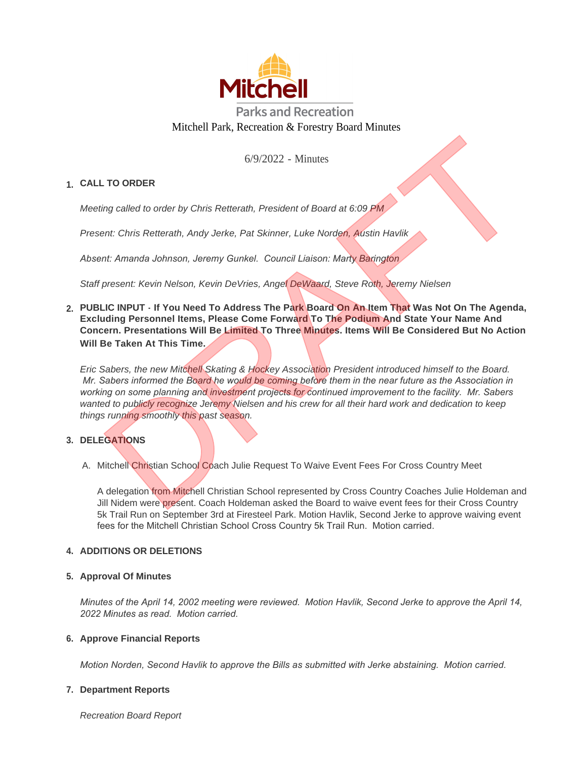

6/9/2022 - Minutes

# **CALL TO ORDER 1.**

*Meeting called to order by Chris Retterath, President of Board at 6:09 PM*

*Present: Chris Retterath, Andy Jerke, Pat Skinner, Luke Norden, Austin Havlik*

*Absent: Amanda Johnson, Jeremy Gunkel. Council Liaison: Marty Barington*

*Staff present: Kevin Nelson, Kevin DeVries, Angel DeWaard, Steve Roth, Jeremy Nielsen*

**PUBLIC INPUT - If You Need To Address The Park Board On An Item That Was Not On The Agenda, 2. Excluding Personnel Items, Please Come Forward To The Podium And State Your Name And Concern. Presentations Will Be Limited To Three Minutes. Items Will Be Considered But No Action Will Be Taken At This Time.**

*Eric Sabers, the new Mitchell Skating & Hockey Association President introduced himself to the Board. Mr. Sabers informed the Board he would be coming before them in the near future as the Association in working on some planning and investment projects for continued improvement to the facility. Mr. Sabers wanted to publicly recognize Jeremy Nielsen and his crew for all their hard work and dedication to keep things running smoothly this past season.* 6/9/2022 - Minutes<br>
ing called to order by Chris Retterath, President of Board at 6:09 PM<br>
inc. Chris Retterath, Andy Jorke, Pat Skinner, Luke Norden, Austin Havilk<br>
Int. Amanda Johnson, Jeremy Gunkel. Council Liaison: Mar

# **DELEGATIONS 3.**

A. Mitchell Christian School Coach Julie Request To Waive Event Fees For Cross Country Meet

A delegation from Mitchell Christian School represented by Cross Country Coaches Julie Holdeman and Jill Nidem were present. Coach Holdeman asked the Board to waive event fees for their Cross Country 5k Trail Run on September 3rd at Firesteel Park. Motion Havlik, Second Jerke to approve waiving event fees for the Mitchell Christian School Cross Country 5k Trail Run. Motion carried.

# **4. ADDITIONS OR DELETIONS**

# **Approval Of Minutes 5.**

*Minutes of the April 14, 2002 meeting were reviewed. Motion Havlik, Second Jerke to approve the April 14, 2022 Minutes as read. Motion carried.*

### **Approve Financial Reports 6.**

*Motion Norden, Second Havlik to approve the Bills as submitted with Jerke abstaining. Motion carried.*

### **Department Reports 7.**

*Recreation Board Report*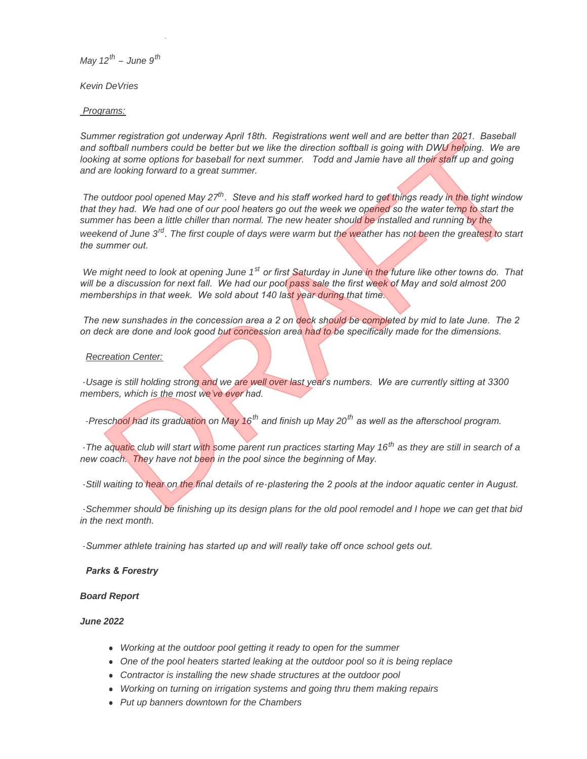*May 12th – June 9th*

*Recreation Board Report*

*Kevin DeVries*

*Programs:*

*Summer registration got underway April 18th. Registrations went well and are better than 2021. Baseball*  and softball numbers could be better but we like the direction softball is going with DWU helping. We are looking at some options for baseball for next summer. Todd and Jamie have all their staff up and going *and are looking forward to a great summer.*

*The outdoor pool opened May 27th. Steve and his staff worked hard to get things ready in the tight window that they had. We had one of our pool heaters go out the week we opened so the water temp to start the summer has been a little chiller than normal. The new heater should be installed and running by the weekend of June 3rd. The first couple of days were warm but the weather has not been the greatest to start the summer out.*  mer registration got underway April 18th. Registrations went well and are better than 2021. Baseball<br>orbthall numbers could be better but we like the direction softball is going with DMU heiping. We are<br>grat some options f

*We might need to look at opening June 1st or first Saturday in June in the future like other towns do. That will be a discussion for next fall. We had our pool pass sale the first week of May and sold almost 200 memberships in that week. We sold about 140 last year during that time.*

*The new sunshades in the concession area a 2 on deck should be completed by mid to late June. The 2 on deck are done and look good but concession area had to be specifically made for the dimensions.* 

#### *Recreation Center:*

*-Usage is still holding strong and we are well over last year's numbers. We are currently sitting at 3300 members, which is the most we've ever had.* 

*-Preschool had its graduation on May 16th and finish up May 20th as well as the afterschool program.* 

*-The aquatic club will start with some parent run practices starting May 16th as they are still in search of a new coach. They have not been in the pool since the beginning of May.*

*-Still waiting to hear on the final details of re-plastering the 2 pools at the indoor aquatic center in August.* 

*-Schemmer should be finishing up its design plans for the old pool remodel and I hope we can get that bid in the next month.*

*-Summer athlete training has started up and will really take off once school gets out.* 

### *Parks & Forestry*

### *Board Report*

#### *June 2022*

- **•** Working at the outdoor pool getting it ready to open for the summer
- One of the pool heaters started leaking at the outdoor pool so it is being replace
- **Contractor is installing the new shade structures at the outdoor pool**
- **•** Working on turning on irrigation systems and going thru them making repairs
- <sup>l</sup> *Put up banners downtown for the Chambers*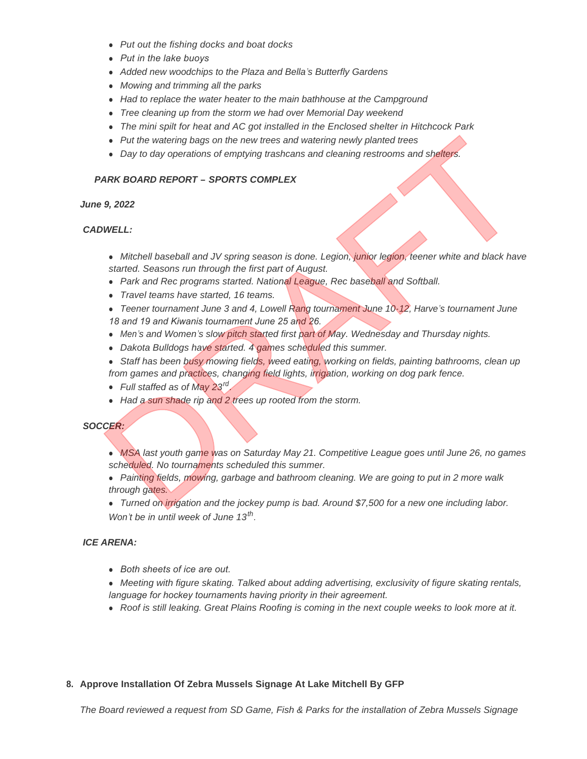- <sup>l</sup> *Put out the fishing docks and boat docks*
- <sup>l</sup> *Put in the lake buoys*
- <sup>l</sup> *Added new woodchips to the Plaza and Bella's Butterfly Gardens*
- <sup>l</sup> *Mowing and trimming all the parks*
- Had to replace the water heater to the main bathhouse at the Campground
- **•** Tree cleaning up from the storm we had over Memorial Day weekend
- The mini spilt for heat and AC got installed in the Enclosed shelter in Hitchcock Park
- Put the watering bags on the new trees and watering newly planted trees
- Day to day operations of emptying trashcans and cleaning restrooms and shelters.

## *PARK BOARD REPORT – SPORTS COMPLEX*

#### *June 9, 2022*

### *CADWELL:*

- **Mitchell baseball and JV spring season is done. Legion, junior legion, teener white and black have** *started. Seasons run through the first part of August.*
- Park and Rec programs started. National League, Rec baseball and Softball.
- <sup>l</sup> *Travel teams have started, 16 teams.*
- <sup>l</sup> *Teener tournament June 3 and 4, Lowell Rang tournament June 10-12, Harve's tournament June 18 and 19 and Kiwanis tournament June 25 and 26.*
- Men<sup>'</sup>s and Women's slow pitch started first part of May. Wednesday and Thursday nights.
- **•** Dakota Bulldogs have started. 4 games scheduled this summer.
- **•** Staff has been busy mowing fields, weed eating, working on fields, painting bathrooms, clean up *from games and practices, changing field lights, irrigation, working on dog park fence.*
- Full staffed as of May 23<sup>rd</sup>.
- Had a sun shade rip and 2 trees up rooted from the storm.

### *SOCCER:*

- **MSA last youth game was on Saturday May 21. Competitive League goes until June 26, no games** *scheduled. No tournaments scheduled this summer.*  • Put the watering bags on the new trees and watering newly planted trees<br>
• Day to day operations of emptying trashcans and cleaning restrooms and shelters.<br>
• Mitchell baseball and JV spring season is done. Legion, junio
	- Painting fields, *mowing*, garbage and bathroom cleaning. We are going to put in 2 more walk *through gates.*
- *Turned on irrigation and the jockey pump is bad. Around \$7,500 for a new one including labor. Won't be in until week of June 13th .*

### *ICE ARENA:*

- **•** Both sheets of ice are out.
- **•** Meeting with figure skating. Talked about adding advertising, exclusivity of figure skating rentals, *language for hockey tournaments having priority in their agreement.*
- Roof is still leaking. Great Plains Roofing is coming in the next couple weeks to look more at it.

# **Approve Installation Of Zebra Mussels Signage At Lake Mitchell By GFP 8.**

*The Board reviewed a request from SD Game, Fish & Parks for the installation of Zebra Mussels Signage*